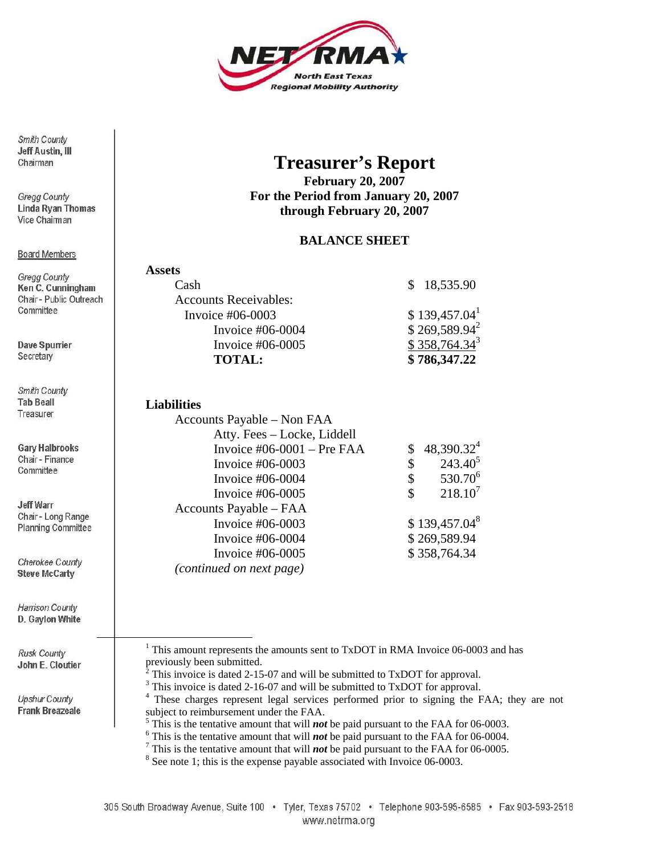

Smith County **Jeff Austin, III** Chairman

**Gregg County Linda Ryan Thomas** Vice Chairman

#### **Board Members**

Gregg County Ken C. Cunningham Chair - Public Outreach Committee

**Dave Spurrier** Secretary

Smith County **Tab Beall** Treasurer

**Gary Halbrooks** Chair - Finance Committee

Jeff Warr Chair - Long Range **Planning Committee** 

Cherokee County **Steve McCarty** 

Harrison County D. Gaylon White

Rusk County John E. Cloutier

Upshur County **Frank Breazeale** 

# **Treasurer's Report**

**February 20, 2007 For the Period from January 20, 2007 through February 20, 2007** 

### **BALANCE SHEET**

| <b>Assets</b>                |                           |
|------------------------------|---------------------------|
| Cash                         | \$18,535.90               |
| <b>Accounts Receivables:</b> |                           |
| Invoice $#06-0003$           | \$139,457.04 <sup>1</sup> |
| Invoice $\#06-0004$          | $$269,589.94^2$           |
| Invoice $#06-0005$           | $$358,764.34^3$           |
| <b>TOTAL:</b>                | \$786,347.22              |

#### **Liabilities**

| Accounts Payable – Non FAA    |              |                     |
|-------------------------------|--------------|---------------------|
| Atty. Fees - Locke, Liddell   |              |                     |
| Invoice $\#06-0001$ – Pre FAA |              | $48,390.32^4$       |
| Invoice $#06-0003$            | \$           | $243.40^{5}$        |
| Invoice $#06-0004$            | \$           | 530.70 <sup>6</sup> |
| Invoice $#06-0005$            | \$           | $218.10^7$          |
| Accounts Payable - FAA        |              |                     |
| Invoice #06-0003              |              | $$139,457.04^8$     |
| Invoice $#06-0004$            | \$269,589.94 |                     |
| Invoice $#06-0005$            | \$358,764.34 |                     |
| (continued on next page)      |              |                     |

<u>1</u>  $1$  This amount represents the amounts sent to TxDOT in RMA Invoice 06-0003 and has previously been submitted.

> <span id="page-0-1"></span><span id="page-0-0"></span> $\bar{2}$ This invoice is dated 2-15-07 and will be submitted to TxDOT for approval.

> <span id="page-0-2"></span><sup>3</sup> This invoice is dated 2-16-07 and will be submitted to TxDOT for approval.

<span id="page-0-3"></span><sup>4</sup> These charges represent legal services performed prior to signing the FAA; they are not subject to reimbursement under the FAA.

<span id="page-0-4"></span> $\frac{5}{10}$  This is the tentative amount that will *not* be paid pursuant to the FAA for 06-0003.

<span id="page-0-5"></span> $6$ <sup>6</sup> This is the tentative amount that will *not* be paid pursuant to the FAA for 06-0004.

<span id="page-0-6"></span> $\frac{7}{1}$  This is the tentative amount that will *not* be paid pursuant to the FAA for 06-0005.

<span id="page-0-7"></span> $8$  See note 1; this is the expense payable associated with Invoice 06-0003.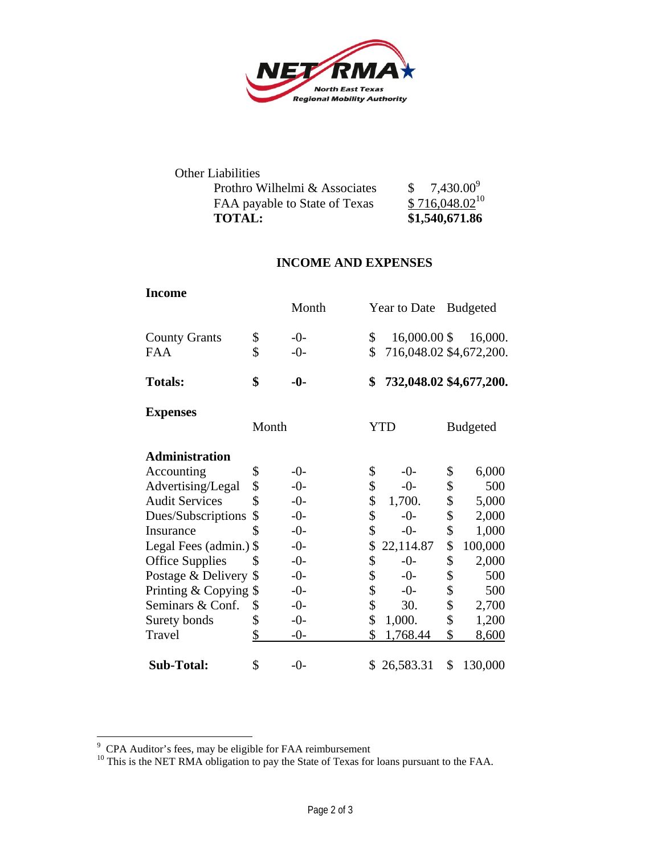

| <b>Other Liabilities</b>      |                    |
|-------------------------------|--------------------|
| Prothro Wilhelmi & Associates | $$7,430.00^9$      |
| FAA payable to State of Texas | $$716,048.02^{10}$ |
| <b>TOTAL:</b>                 | \$1,540,671.86     |

## **INCOME AND EXPENSES**

| <b>Income</b>          |       | Month | Year to Date                  | <b>Budgeted</b> |
|------------------------|-------|-------|-------------------------------|-----------------|
|                        |       |       |                               |                 |
| <b>County Grants</b>   | \$    | $-0-$ | \$<br>16,000.00 \$            | 16,000.         |
| <b>FAA</b>             | \$    | $-0-$ | \$<br>716,048.02 \$4,672,200. |                 |
| <b>Totals:</b>         | \$    | $-0-$ | \$<br>732,048.02 \$4,677,200. |                 |
| <b>Expenses</b>        |       |       |                               |                 |
|                        | Month |       | <b>YTD</b>                    | <b>Budgeted</b> |
| <b>Administration</b>  |       |       |                               |                 |
| Accounting             | \$    | $-0-$ | \$<br>$-0-$                   | \$<br>6,000     |
| Advertising/Legal      | \$    | $-0-$ | \$<br>$-0-$                   | \$<br>500       |
| <b>Audit Services</b>  | \$    | $-0-$ | \$<br>1,700.                  | \$<br>5,000     |
| Dues/Subscriptions     | \$    | $-0-$ | \$<br>$-0-$                   | \$<br>2,000     |
| Insurance              | \$    | $-0-$ | \$<br>$-0-$                   | \$<br>1,000     |
| Legal Fees (admin.) \$ |       | $-0-$ | \$<br>22,114.87               | \$<br>100,000   |
| <b>Office Supplies</b> | \$    | $-0-$ | \$<br>$-0-$                   | \$<br>2,000     |
| Postage & Delivery \$  |       | $-0-$ | \$<br>$-0-$                   | \$<br>500       |
| Printing & Copying \$  |       | $-0-$ | \$<br>$-0-$                   | \$<br>500       |
| Seminars & Conf.       | \$    | $-0-$ | \$<br>30.                     | \$<br>2,700     |
| Surety bonds           | \$    | $-0-$ | \$<br>1,000.                  | \$<br>1,200     |
| Travel                 | \$    | $-0-$ | \$<br>1,768.44                | \$<br>8,600     |
| Sub-Total:             | \$    | $-0-$ | \$26,583.31                   | \$<br>130,000   |

<span id="page-1-1"></span><span id="page-1-0"></span>

<sup>&</sup>lt;sup>9</sup> CPA Auditor's fees, may be eligible for FAA reimbursement<br><sup>10</sup> This is the NET RMA obligation to pay the State of Texas for loans pursuant to the FAA.